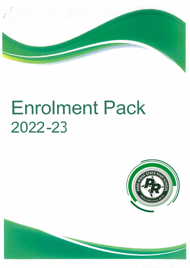

# **Enrolment Pack**  2022-23



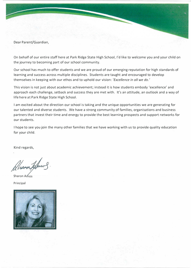Dear Parent/Guardian,

On behalf of our entire staff here at Park Ridge State High School, I'd like to welcome you and your child on the journey to becoming part of our school community.

Our school has much to offer students and we are proud of our emerging reputation for high standards of learning and success across multiple disciplines. Students are taught and encouraged to develop themselves in keeping with our ethos and to uphold our vision: *'Excellence in all we do.'*

This vision is not just about academic achievement; instead it is how students embody 'excellence' and approach each challenge, setback and success they are met with. It's an attitude, an outlook and a way of life here at Park Ridge State High School.

I am excited about the direction our school is taking and the unique opportunities we are generating for our talented and diverse students. We have a strong community of families, organisations and business partners that invest their time and energy to provide the best learning prospects and support networks for our students.

I hope to see you join the many other families that we have working with us to provide quality education for your child.

Kind regards,

Aharon formos

Sharon Amos

Principal